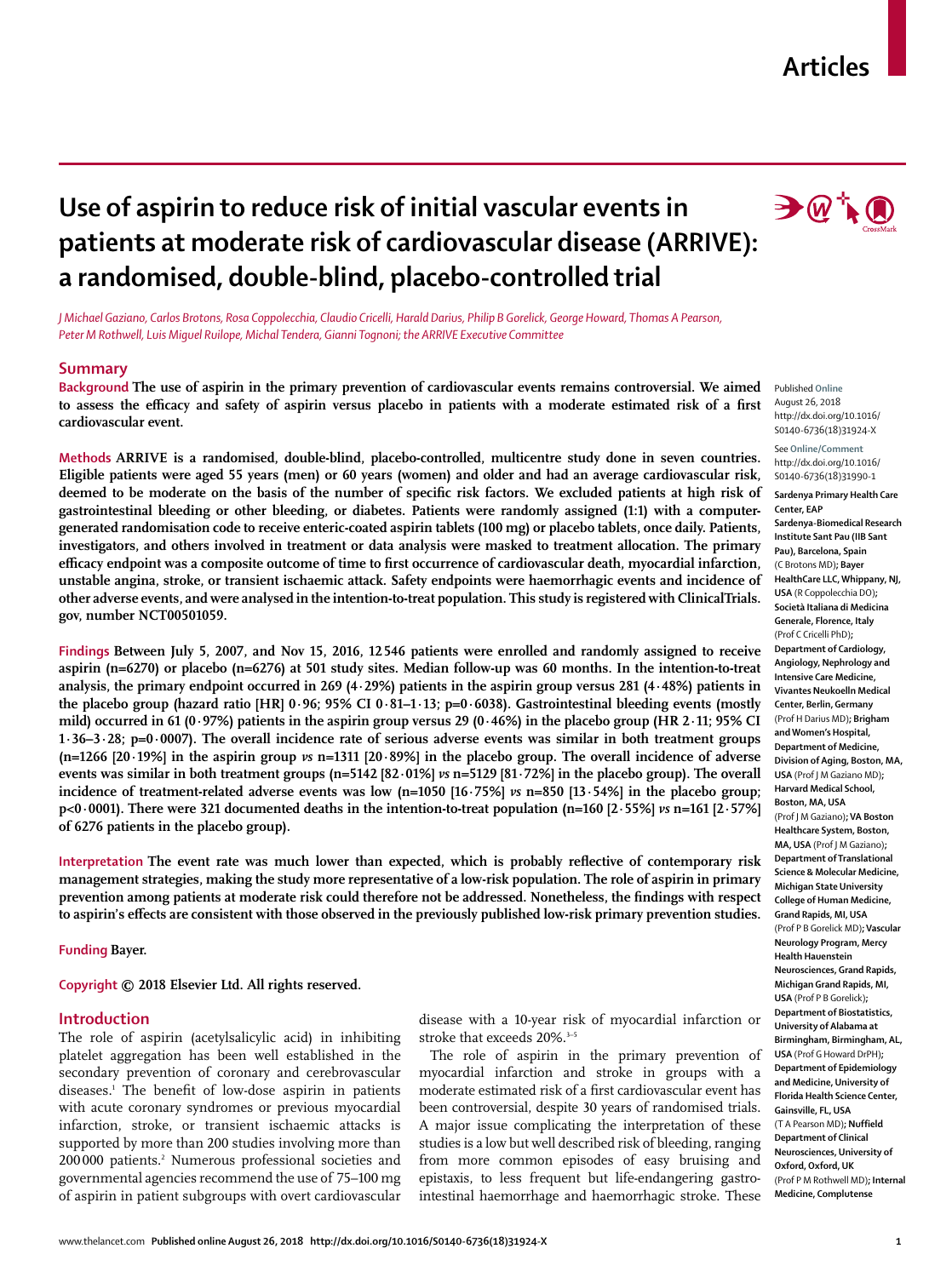## **Articles**

# **Use of aspirin to reduce risk of initial vascular events in patients at moderate risk of cardiovascular disease (ARRIVE): a randomised, double-blind, placebo-controlled trial**



## **Summary**

**Background The use of aspirin in the primary prevention of cardiovascular events remains controversial. We aimed to assess the efficacy and safety of aspirin versus placebo in patients with a moderate estimated risk of a first cardiovascular event.**

**Methods ARRIVE is a randomised, double-blind, placebo-controlled, multicentre study done in seven countries. Eligible patients were aged 55 years (men) or 60 years (women) and older and had an average cardiovascular risk, deemed to be moderate on the basis of the number of specific risk factors. We excluded patients at high risk of gastrointestinal bleeding or other bleeding, or diabetes. Patients were randomly assigned (1:1) with a computergenerated randomisation code to receive enteric-coated aspirin tablets (100 mg) or placebo tablets, once daily. Patients, investigators, and others involved in treatment or data analysis were masked to treatment allocation. The primary efficacy endpoint was a composite outcome of time to first occurrence of cardiovascular death, myocardial infarction, unstable angina, stroke, or transient ischaemic attack. Safety endpoints were haemorrhagic events and incidence of other adverse events, and were analysed in the intention-to-treat population. This study is registered with ClinicalTrials. gov, number NCT00501059.**

**Findings Between July 5, 2007, and Nov 15, 2016, 12546 patients were enrolled and randomly assigned to receive aspirin (n=6270) or placebo (n=6276) at 501 study sites. Median follow-up was 60 months. In the intention-to-treat analysis, the primary endpoint occurred in 269 (4·29%) patients in the aspirin group versus 281 (4·48%) patients in the placebo group (hazard ratio [HR] 0·96; 95% CI 0·81–1·13; p=0·6038). Gastrointestinal bleeding events (mostly mild) occurred in 61 (0·97%) patients in the aspirin group versus 29 (0·46%) in the placebo group (HR 2·11; 95% CI 1·36–3·28; p=0·0007). The overall incidence rate of serious adverse events was similar in both treatment groups (n=1266 [20·19%] in the aspirin group** *vs* **n=1311 [20·89%] in the placebo group. The overall incidence of adverse events was similar in both treatment groups (n=5142 [82·01%]** *vs* **n=5129 [81·72%] in the placebo group). The overall**  incidence of treatment-related adverse events was low  $(n=1050 \; [16 \cdot 75\%] \; \nu s \; n=850 \; [13 \cdot 54\%]$  in the placebo group; **p**<0.0001). There were 321 documented deaths in the intention-to-treat population (n=160 [2·55%] *vs* n=161 [2·57%] **of 6276 patients in the placebo group).**

**Interpretation The event rate was much lower than expected, which is probably reflective of contemporary risk management strategies, making the study more representative of a low-risk population. The role of aspirin in primary prevention among patients at moderate risk could therefore not be addressed. Nonetheless, the findings with respect to aspirin's effects are consistent with those observed in the previously published low-risk primary prevention studies.**

**Funding Bayer.**

**Copyright © 2018 Elsevier Ltd. All rights reserved.**

## **Introduction**

The role of aspirin (acetylsalicylic acid) in inhibiting platelet aggregation has been well established in the secondary prevention of coronary and cerebrovascular diseases.1 The benefit of low-dose aspirin in patients with acute coronary syndromes or previous myocardial infarction, stroke, or transient ischaemic attacks is supported by more than 200 studies involving more than 200000 patients.<sup>2</sup> Numerous professional societies and governmental agencies recommend the use of 75–100 mg of aspirin in patient subgroups with overt cardiovascular

disease with a 10-year risk of myocardial infarction or stroke that exceeds 20%.<sup>3-5</sup>

The role of aspirin in the primary prevention of myocardial infarction and stroke in groups with a moderate estimated risk of a first cardiovascular event has been controversial, despite 30 years of randomised trials. A major issue complicating the interpretation of these studies is a low but well described risk of bleeding, ranging from more common episodes of easy bruising and epistaxis, to less frequent but life-endangering gastrointestinal haemorrhage and haemorrhagic stroke. These



Published **Online** August 26, 2018 http://dx.doi.org/10.1016/ S0140-6736(18)31924-X

See **Online/Comment** http://dx.doi.org/10.1016/ S0140-6736(18)31990-1

**Sardenya Primary Health Care** 

**Center, EAP Sardenya-Biomedical Research Institute Sant Pau (IIB Sant Pau), Barcelona, Spain** (C Brotons MD)**; Bayer HealthCare LLC, Whippany, NJ, USA** (R Coppolecchia DO)**; Società Italiana di Medicina Generale, Florence, Italy** (Prof C Cricelli PhD)**; Department of Cardiology, Angiology, Nephrology and Intensive Care Medicine, Vivantes Neukoelln Medical Center, Berlin, Germany** (Prof H Darius MD)**; Brigham and Women's Hospital, Department of Medicine, Division of Aging, Boston, MA, USA** (Prof J M Gaziano MD)**; Harvard Medical School, Boston, MA, USA**  (Prof J M Gaziano)**; VA Boston Healthcare System, Boston, MA, USA** (Prof J M Gaziano)**; Department of Translational Science & Molecular Medicine, Michigan State University College of Human Medicine, Grand Rapids, MI, USA** (Prof P B Gorelick MD)**; Vascular Neurology Program, Mercy Health Hauenstein Neurosciences, Grand Rapids, Michigan Grand Rapids, MI, USA** (Prof P B Gorelick)**; Department of Biostatistics, University of Alabama at Birmingham, Birmingham, AL, USA** (Prof G Howard DrPH)**; Department of Epidemiology and Medicine, University of Florida Health Science Center, Gainsville, FL, USA** (T A Pearson MD)**; Nuffield Department of Clinical Neurosciences, University of Oxford, Oxford, UK** (Prof P M Rothwell MD)**; Internal Medicine, Complutense**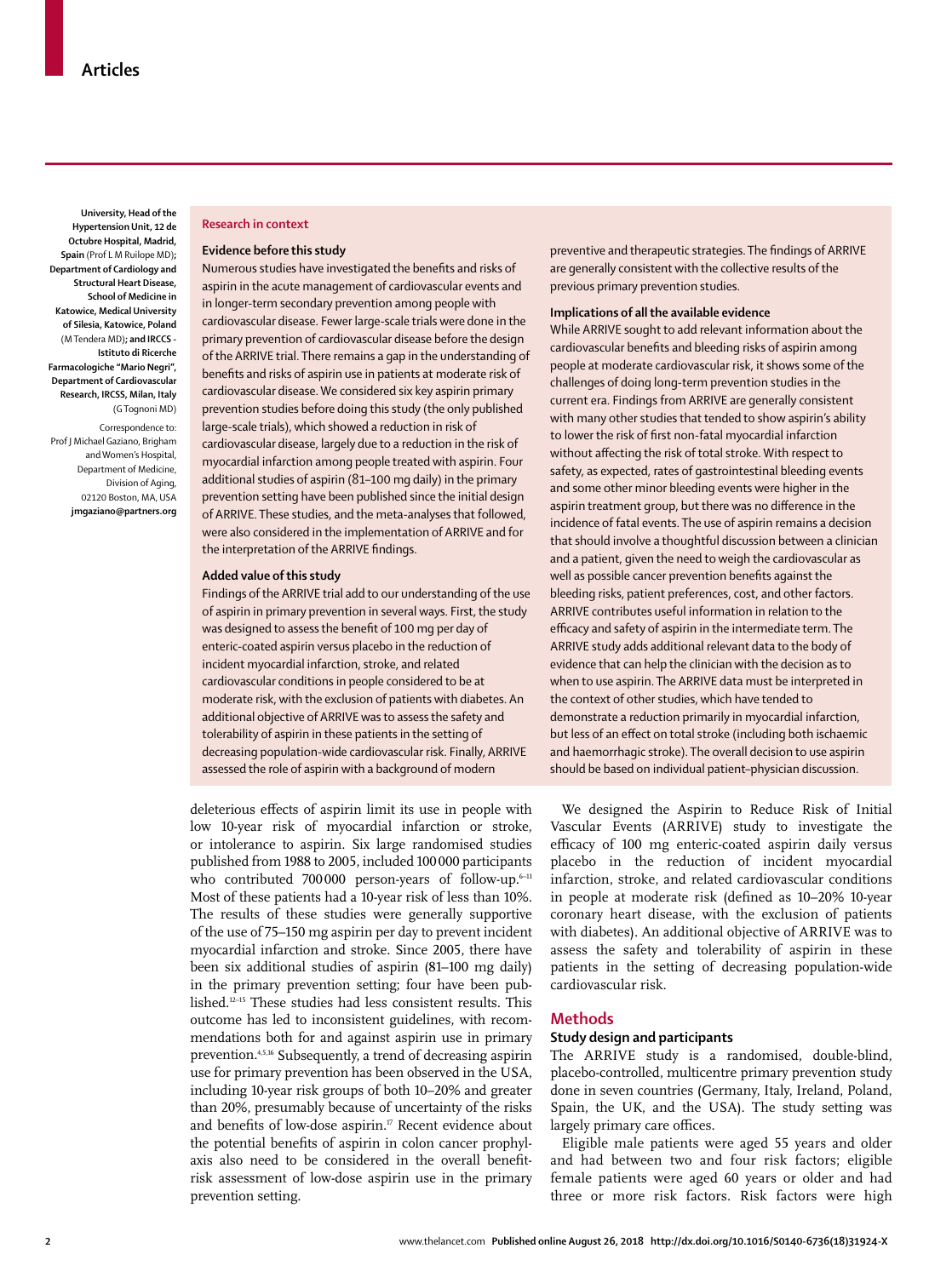**University, Head of the Hypertension Unit, 12 de Octubre Hospital, Madrid, Spain** (Prof L M Ruilope MD)**; Department of Cardiology and Structural Heart Disease, School of Medicine in Katowice, Medical University of Silesia, Katowice, Poland** (M Tendera MD)**; and IRCCS - Istituto di Ricerche Farmacologiche "Mario Negri", Department of Cardiovascular Research, IRCSS, Milan, Italy** (G Tognoni MD)

Correspondence to: Prof J Michael Gaziano, Brigham and Women's Hospital, Department of Medicine, Division of Aging, 02120 Boston, MA, USA **jmgaziano@partners.org**

#### **Research in context**

#### **Evidence before this study**

Numerous studies have investigated the benefits and risks of aspirin in the acute management of cardiovascular events and in longer-term secondary prevention among people with cardiovascular disease. Fewer large-scale trials were done in the primary prevention of cardiovascular disease before the design of the ARRIVE trial. There remains a gap in the understanding of benefits and risks of aspirin use in patients at moderate risk of cardiovascular disease. We considered six key aspirin primary prevention studies before doing this study (the only published large-scale trials), which showed a reduction in risk of cardiovascular disease, largely due to a reduction in the risk of myocardial infarction among people treated with aspirin. Four additional studies of aspirin (81–100 mg daily) in the primary prevention setting have been published since the initial design of ARRIVE. These studies, and the meta-analyses that followed, were also considered in the implementation of ARRIVE and for the interpretation of the ARRIVE findings.

#### **Added value of this study**

Findings of the ARRIVE trial add to our understanding of the use of aspirin in primary prevention in several ways. First, the study was designed to assess the benefit of 100 mg per day of enteric-coated aspirin versus placebo in the reduction of incident myocardial infarction, stroke, and related cardiovascular conditions in people considered to be at moderate risk, with the exclusion of patients with diabetes. An additional objective of ARRIVE was to assess the safety and tolerability of aspirin in these patients in the setting of decreasing population-wide cardiovascular risk. Finally, ARRIVE assessed the role of aspirin with a background of modern

deleterious effects of aspirin limit its use in people with low 10-year risk of myocardial infarction or stroke, or intolerance to aspirin. Six large randomised studies published from 1988 to 2005, included 100000 participants who contributed 700000 person-years of follow-up.<sup>6-11</sup> Most of these patients had a 10-year risk of less than 10%. The results of these studies were generally supportive of the use of 75–150 mg aspirin per day to prevent incident myocardial infarction and stroke. Since 2005, there have been six additional studies of aspirin (81–100 mg daily) in the primary prevention setting; four have been published.12–15 These studies had less consistent results. This outcome has led to inconsistent guidelines, with recommendations both for and against aspirin use in primary prevention.4,5,16 Subsequently, a trend of decreasing aspirin use for primary prevention has been observed in the USA, including 10-year risk groups of both 10–20% and greater than 20%, presumably because of uncertainty of the risks and benefits of low-dose aspirin. $\mathbb{P}$  Recent evidence about the potential benefits of aspirin in colon cancer prophylaxis also need to be considered in the overall benefitrisk assessment of low-dose aspirin use in the primary prevention setting.

preventive and therapeutic strategies. The findings of ARRIVE are generally consistent with the collective results of the previous primary prevention studies.

#### **Implications of all the available evidence**

While ARRIVE sought to add relevant information about the cardiovascular benefits and bleeding risks of aspirin among people at moderate cardiovascular risk, it shows some of the challenges of doing long-term prevention studies in the current era. Findings from ARRIVE are generally consistent with many other studies that tended to show aspirin's ability to lower the risk of first non-fatal myocardial infarction without affecting the risk of total stroke. With respect to safety, as expected, rates of gastrointestinal bleeding events and some other minor bleeding events were higher in the aspirin treatment group, but there was no difference in the incidence of fatal events. The use of aspirin remains a decision that should involve a thoughtful discussion between a clinician and a patient, given the need to weigh the cardiovascular as well as possible cancer prevention benefits against the bleeding risks, patient preferences, cost, and other factors. ARRIVE contributes useful information in relation to the efficacy and safety of aspirin in the intermediate term. The ARRIVE study adds additional relevant data to the body of evidence that can help the clinician with the decision as to when to use aspirin. The ARRIVE data must be interpreted in the context of other studies, which have tended to demonstrate a reduction primarily in myocardial infarction, but less of an effect on total stroke (including both ischaemic and haemorrhagic stroke). The overall decision to use aspirin should be based on individual patient–physician discussion.

We designed the Aspirin to Reduce Risk of Initial Vascular Events (ARRIVE) study to investigate the efficacy of 100 mg enteric-coated aspirin daily versus placebo in the reduction of incident myocardial infarction, stroke, and related cardiovascular conditions in people at moderate risk (defined as 10–20% 10-year coronary heart disease, with the exclusion of patients with diabetes). An additional objective of ARRIVE was to assess the safety and tolerability of aspirin in these patients in the setting of decreasing population-wide cardiovascular risk.

## **Methods**

## **Study design and participants**

The ARRIVE study is a randomised, double-blind, placebo-controlled, multicentre primary prevention study done in seven countries (Germany, Italy, Ireland, Poland, Spain, the UK, and the USA). The study setting was largely primary care offices.

Eligible male patients were aged 55 years and older and had between two and four risk factors; eligible female patients were aged 60 years or older and had three or more risk factors. Risk factors were high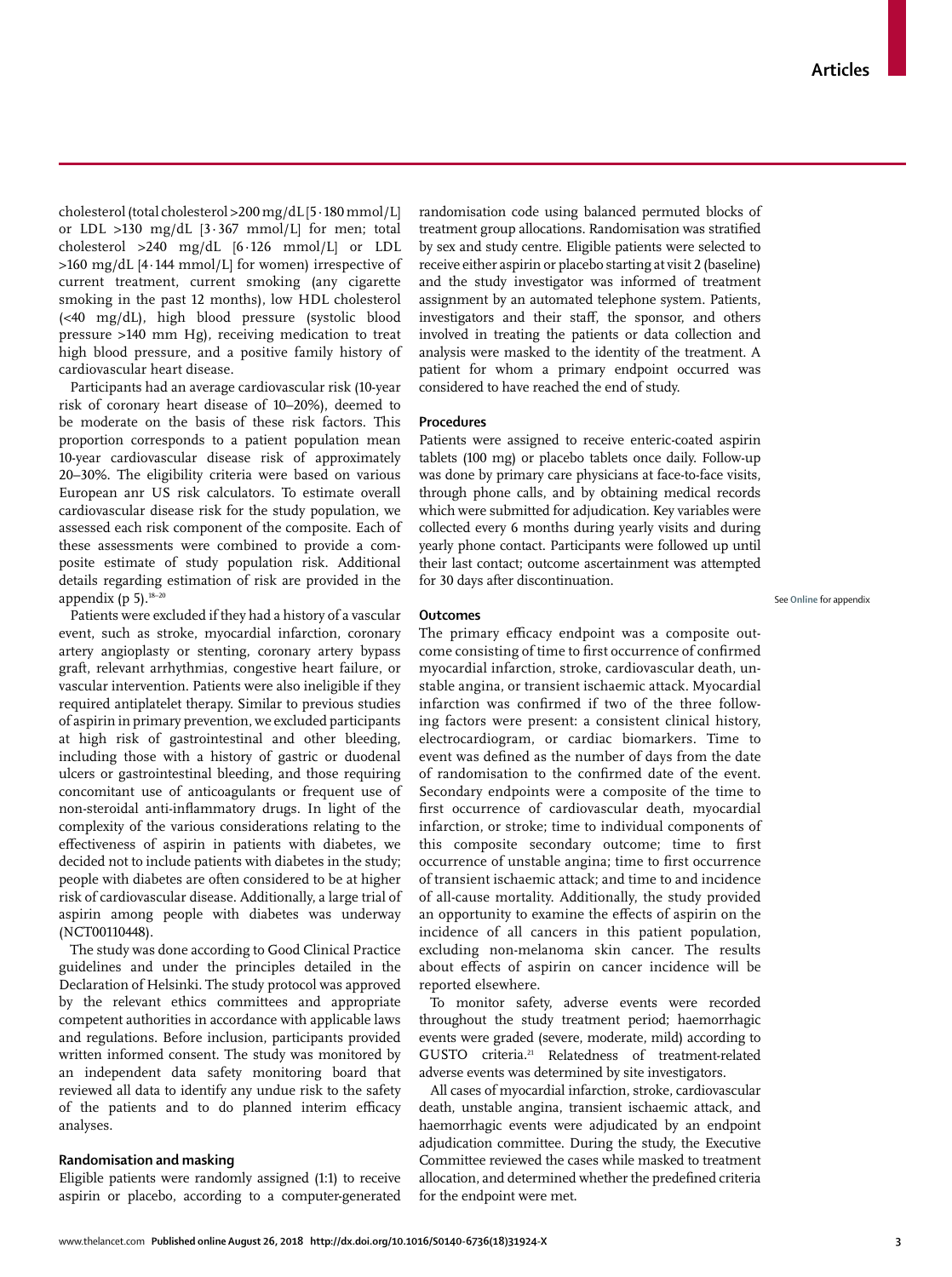cholesterol (total cholesterol >200 mg/dL [5·180 mmol/L] or LDL >130 mg/dL [3·367 mmol/L] for men; total cholesterol >240 mg/dL [6·126 mmol/L] or LDL >160 mg/dL [4·144 mmol/L] for women) irrespective of current treatment, current smoking (any cigarette smoking in the past 12 months), low HDL cholesterol (<40 mg/dL), high blood pressure (systolic blood pressure >140 mm Hg), receiving medication to treat high blood pressure, and a positive family history of cardiovascular heart disease.

Participants had an average cardiovascular risk (10-year risk of coronary heart disease of 10–20%), deemed to be moderate on the basis of these risk factors. This proportion corresponds to a patient population mean 10-year cardiovascular disease risk of approximately 20–30%. The eligibility criteria were based on various European anr US risk calculators. To estimate overall cardiovascular disease risk for the study population, we assessed each risk component of the composite. Each of these assessments were combined to provide a composite estimate of study population risk. Additional details regarding estimation of risk are provided in the appendix (p 5). $18-20$ 

Patients were excluded if they had a history of a vascular event, such as stroke, myocardial infarction, coronary artery angioplasty or stenting, coronary artery bypass graft, relevant arrhythmias, congestive heart failure, or vascular intervention. Patients were also ineligible if they required antiplatelet therapy. Similar to previous studies of aspirin in primary prevention, we excluded participants at high risk of gastrointestinal and other bleeding, including those with a history of gastric or duodenal ulcers or gastrointestinal bleeding, and those requiring concomitant use of anticoagulants or frequent use of non-steroidal anti-inflammatory drugs. In light of the complexity of the various considerations relating to the effectiveness of aspirin in patients with diabetes, we decided not to include patients with diabetes in the study; people with diabetes are often considered to be at higher risk of cardiovascular disease. Additionally, a large trial of aspirin among people with diabetes was underway (NCT00110448).

The study was done according to Good Clinical Practice guidelines and under the principles detailed in the Declaration of Helsinki. The study protocol was approved by the relevant ethics committees and appropriate competent authorities in accordance with applicable laws and regulations. Before inclusion, participants provided written informed consent. The study was monitored by an independent data safety monitoring board that reviewed all data to identify any undue risk to the safety of the patients and to do planned interim efficacy analyses.

## **Randomisation and masking**

Eligible patients were randomly assigned (1:1) to receive aspirin or placebo, according to a computer-generated randomisation code using balanced permuted blocks of treatment group allocations. Randomisation was stratified by sex and study centre. Eligible patients were selected to receive either aspirin or placebo starting at visit 2 (baseline) and the study investigator was informed of treatment assignment by an automated telephone system. Patients, investigators and their staff, the sponsor, and others involved in treating the patients or data collection and analysis were masked to the identity of the treatment. A patient for whom a primary endpoint occurred was considered to have reached the end of study.

## **Procedures**

Patients were assigned to receive enteric-coated aspirin tablets (100 mg) or placebo tablets once daily. Follow-up was done by primary care physicians at face-to-face visits, through phone calls, and by obtaining medical records which were submitted for adjudication. Key variables were collected every 6 months during yearly visits and during yearly phone contact. Participants were followed up until their last contact; outcome ascertainment was attempted for 30 days after discontinuation.

See **Online** for appendix

#### **Outcomes**

The primary efficacy endpoint was a composite outcome consisting of time to first occurrence of confirmed myocardial infarction, stroke, cardiovascular death, unstable angina, or transient ischaemic attack. Myocardial infarction was confirmed if two of the three following factors were present: a consistent clinical history, electrocardiogram, or cardiac biomarkers. Time to event was defined as the number of days from the date of randomisation to the confirmed date of the event. Secondary endpoints were a composite of the time to first occurrence of cardiovascular death, myocardial infarction, or stroke; time to individual components of this composite secondary outcome; time to first occurrence of unstable angina; time to first occurrence of transient ischaemic attack; and time to and incidence of all-cause mortality. Additionally, the study provided an opportunity to examine the effects of aspirin on the incidence of all cancers in this patient population, excluding non-melanoma skin cancer. The results about effects of aspirin on cancer incidence will be reported elsewhere.

To monitor safety, adverse events were recorded throughout the study treatment period; haemorrhagic events were graded (severe, moderate, mild) according to GUSTO criteria.21 Relatedness of treatment-related adverse events was determined by site investigators.

All cases of myocardial infarction, stroke, cardiovascular death, unstable angina, transient ischaemic attack, and haemorrhagic events were adjudicated by an endpoint adjudication committee. During the study, the Executive Committee reviewed the cases while masked to treatment allocation, and determined whether the predefined criteria for the endpoint were met.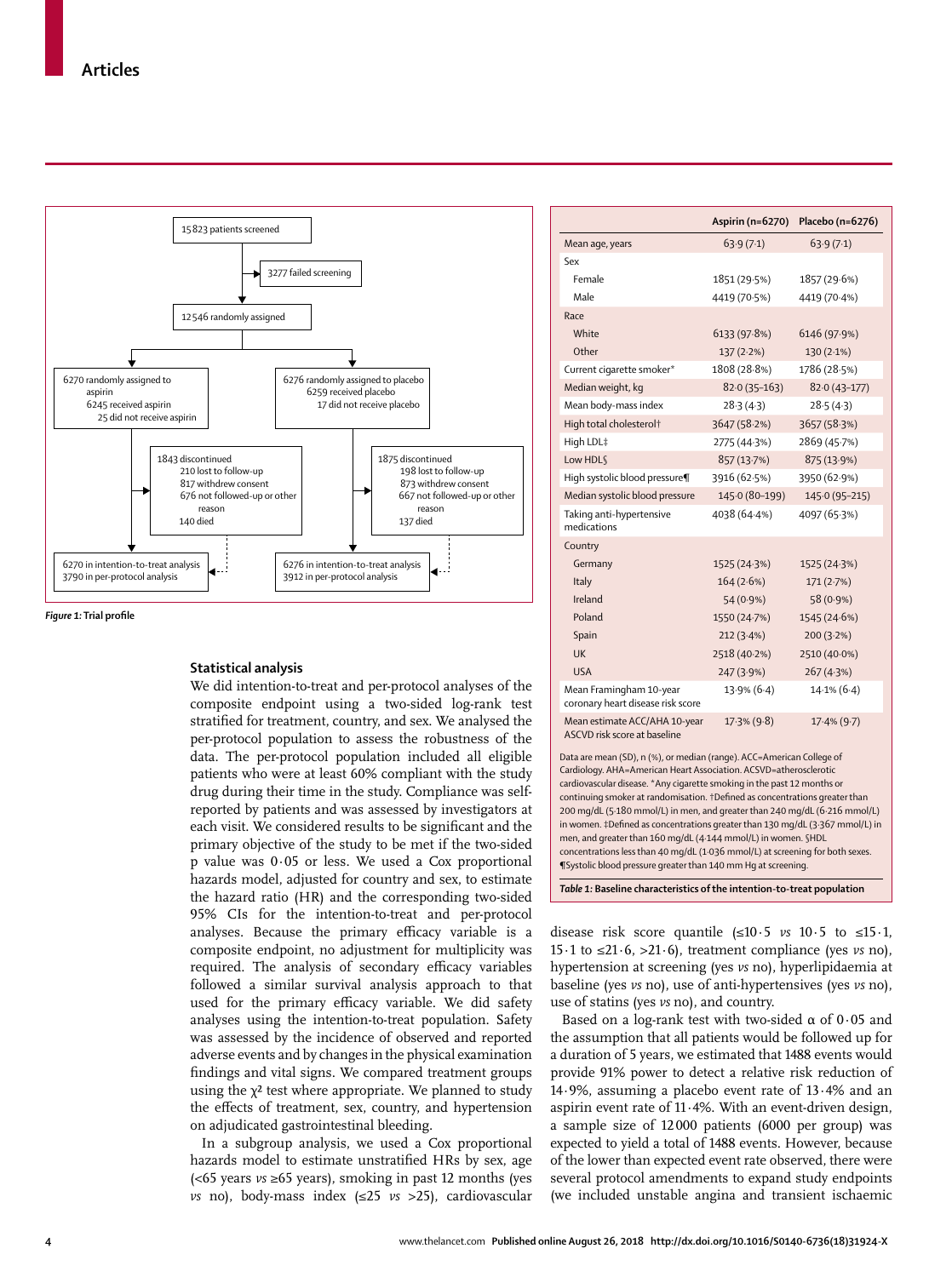

*Figure 1:* **Trial profile** 

## **Statistical analysis**

We did intention-to-treat and per-protocol analyses of the composite endpoint using a two-sided log-rank test stratified for treatment, country, and sex. We analysed the per-protocol population to assess the robustness of the data. The per-protocol population included all eligible patients who were at least 60% compliant with the study drug during their time in the study. Compliance was selfreported by patients and was assessed by investigators at each visit. We considered results to be significant and the primary objective of the study to be met if the two-sided p value was 0·05 or less. We used a Cox proportional hazards model, adjusted for country and sex, to estimate the hazard ratio (HR) and the corresponding two-sided 95% CIs for the intention-to-treat and per-protocol analyses. Because the primary efficacy variable is a composite endpoint, no adjustment for multiplicity was required. The analysis of secondary efficacy variables followed a similar survival analysis approach to that used for the primary efficacy variable. We did safety analyses using the intention-to-treat population. Safety was assessed by the incidence of observed and reported adverse events and by changes in the physical examination findings and vital signs. We compared treatment groups using the  $\chi^2$  test where appropriate. We planned to study the effects of treatment, sex, country, and hypertension on adjudicated gastrointestinal bleeding.

In a subgroup analysis, we used a Cox proportional hazards model to estimate unstratified HRs by sex, age (<65 years *vs* ≥65 years), smoking in past 12 months (yes *vs* no), body-mass index (≤25 *vs* >25), cardiovascular

|                                                               | Aspirin (n=6270) | Placebo (n=6276) |
|---------------------------------------------------------------|------------------|------------------|
| Mean age, years                                               | 63.9(7.1)        | 63.9(7.1)        |
| Sex                                                           |                  |                  |
| Female                                                        | 1851 (29.5%)     | 1857 (29.6%)     |
| Male                                                          | 4419 (70.5%)     | 4419 (70.4%)     |
| Race                                                          |                  |                  |
| White                                                         | 6133 (97.8%)     | 6146 (97.9%)     |
| Other                                                         | 137(2.2%)        | 130 (2.1%)       |
| Current cigarette smoker*                                     | 1808 (28.8%)     | 1786 (28.5%)     |
| Median weight, kg                                             | $82.0(35-163)$   | $82.0(43-177)$   |
| Mean body-mass index                                          | 28.3(4.3)        | 28.5(4.3)        |
| High total cholesterol <sup>+</sup>                           | 3647 (58.2%)     | 3657 (58.3%)     |
| High LDL‡                                                     | 2775 (44-3%)     | 2869 (45.7%)     |
| Low HDLS                                                      | 857 (13.7%)      | 875 (13.9%)      |
| High systolic blood pressure¶                                 | 3916 (62.5%)     | 3950 (62.9%)     |
| Median systolic blood pressure                                | 145.0 (80-199)   | 145.0 (95-215)   |
| Taking anti-hypertensive<br>medications                       | 4038 (64.4%)     | 4097 (65.3%)     |
| Country                                                       |                  |                  |
| Germany                                                       | 1525 (24.3%)     | 1525 (24.3%)     |
| Italy                                                         | 164(2.6%)        | 171(2.7%)        |
| Ireland                                                       | 54 (0.9%)        | 58 (0.9%)        |
| Poland                                                        | 1550 (24.7%)     | 1545 (24.6%)     |
| Spain                                                         | 212(3.4%)        | 200(3.2%)        |
| UK                                                            | 2518 (40.2%)     | 2510 (40.0%)     |
| <b>USA</b>                                                    | 247 (3.9%)       | 267(4.3%)        |
| Mean Framingham 10-year<br>coronary heart disease risk score  | $13.9\%$ (6.4)   | $14.1\%$ (6.4)   |
| Mean estimate ACC/AHA 10-year<br>ASCVD risk score at baseline | $17.3\%$ (9.8)   | $17.4\%$ (9.7)   |

Data are mean (SD), n (%), or median (range). ACC=American College of Cardiology. AHA=American Heart Association. ACSVD=atherosclerotic cardiovascular disease. \*Any cigarette smoking in the past 12 months or continuing smoker at randomisation. †Defined as concentrations greater than 200 mg/dL (5·180 mmol/L) in men, and greater than 240 mg/dL (6·216 mmol/L) in women. ‡Defined as concentrations greater than 130 mg/dL (3·367 mmol/L) in men, and greater than 160 mg/dL (4·144 mmol/L) in women. §HDL concentrations less than 40 mg/dL (1·036 mmol/L) at screening for both sexes. ¶Systolic blood pressure greater than 140 mm Hg at screening.

*Table 1:* **Baseline characteristics of the intention-to-treat population**

disease risk score quantile (≤10⋅5 *vs* 10⋅5 to ≤15⋅1, 15⋅1 to ≤21⋅6, >21⋅6), treatment compliance (yes *vs* no), hypertension at screening (yes *vs* no), hyperlipidaemia at baseline (yes *vs* no), use of anti-hypertensives (yes *vs* no), use of statins (yes *vs* no), and country.

Based on a log-rank test with two-sided  $\alpha$  of 0.05 and the assumption that all patients would be followed up for a duration of 5 years, we estimated that 1488 events would provide 91% power to detect a relative risk reduction of 14·9%, assuming a placebo event rate of 13·4% and an aspirin event rate of 11·4%. With an event-driven design, a sample size of 12000 patients (6000 per group) was expected to yield a total of 1488 events. However, because of the lower than expected event rate observed, there were several protocol amendments to expand study endpoints (we included unstable angina and transient ischaemic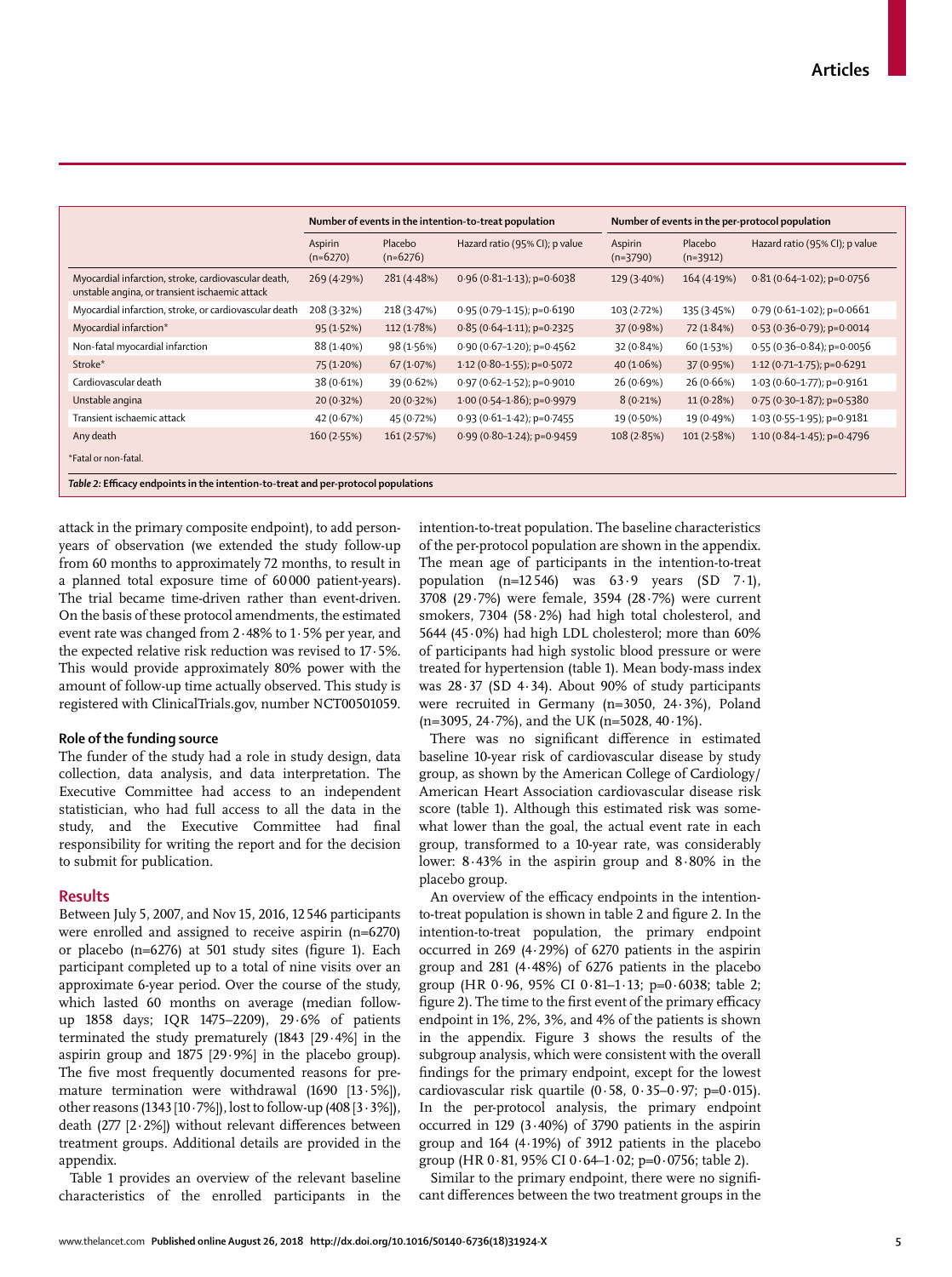|                                                                                                        | Number of events in the intention-to-treat population |                       |                                 | Number of events in the per-protocol population |                       |                                |
|--------------------------------------------------------------------------------------------------------|-------------------------------------------------------|-----------------------|---------------------------------|-------------------------------------------------|-----------------------|--------------------------------|
|                                                                                                        | Aspirin<br>$(n=6270)$                                 | Placebo<br>$(n=6276)$ | Hazard ratio (95% CI); p value  | Aspirin<br>$(n=3790)$                           | Placebo<br>$(n=3912)$ | Hazard ratio (95% CI); p value |
| Myocardial infarction, stroke, cardiovascular death,<br>unstable angina, or transient ischaemic attack | 269 (4.29%)                                           | 281 (4.48%)           | $0.96$ (0.81-1.13); p=0.6038    | 129(3.40%)                                      | 164 (4.19%)           | $0.81(0.64 - 1.02)$ ; p=0.0756 |
| Myocardial infarction, stroke, or cardiovascular death                                                 | 208 (3.32%)                                           | 218 (3.47%)           | 0.95 (0.79-1.15); p=0.6190      | 103 (2.72%)                                     | 135 (3.45%)           | $0.79(0.61-1.02); p=0.0661$    |
| Myocardial infarction*                                                                                 | 95(1.52%)                                             | 112 (1.78%)           | $0.85(0.64-1.11); p=0.2325$     | 37 (0.98%)                                      | 72 (1.84%)            | $0.53(0.36-0.79); p=0.0014$    |
| Non-fatal myocardial infarction                                                                        | 88 (1.40%)                                            | 98 (1.56%)            | $0.90(0.67-1.20)$ ; p= $0.4562$ | 32 (0.84%)                                      | 60 (1.53%)            | $0.55(0.36 - 0.84)$ ; p=0.0056 |
| Stroke*                                                                                                | 75 (1.20%)                                            | 67(1.07%)             | $1.12(0.80 - 1.55); p = 0.5072$ | 40(1.06%)                                       | 37 (0.95%)            | 1.12 (0.71-1.75); p=0.6291     |
| Cardiovascular death                                                                                   | 38 (0.61%)                                            | 39 (0.62%)            | 0.97 (0.62-1.52); p=0.9010      | 26 (0.69%)                                      | 26 (0.66%)            | 1.03 (0.60-1.77); p=0.9161     |
| Unstable angina                                                                                        | 20 (0.32%)                                            | 20 (0.32%)            | $1.00(0.54-1.86)$ ; p=0.9979    | 8(0.21%)                                        | 11 (0.28%)            | $0.75(0.30-1.87); p=0.5380$    |
| Transient ischaemic attack                                                                             | 42 (0.67%)                                            | 45 (0.72%)            | $0.93(0.61-1.42); p=0.7455$     | 19 (0.50%)                                      | 19 (0.49%)            | 1.03 (0.55-1.95); p=0.9181     |
| Any death                                                                                              | 160(2.55%)                                            | 161(2.57%)            | $0.99$ (0.80-1.24); p=0.9459    | 108(2.85%)                                      | 101 (2.58%)           | 1.10 (0.84-1.45); p=0.4796     |

*Table 2:* **Efficacy endpoints in the intention-to-treat and per-protocol populations**

attack in the primary composite endpoint), to add personyears of observation (we extended the study follow-up from 60 months to approximately 72 months, to result in a planned total exposure time of 60000 patient-years). The trial became time-driven rather than event-driven. On the basis of these protocol amendments, the estimated event rate was changed from 2·48% to 1·5% per year, and the expected relative risk reduction was revised to 17·5%. This would provide approximately 80% power with the amount of follow-up time actually observed. This study is registered with ClinicalTrials.gov, number NCT00501059.

#### **Role of the funding source**

The funder of the study had a role in study design, data collection, data analysis, and data interpretation. The Executive Committee had access to an independent statistician, who had full access to all the data in the study, and the Executive Committee had final responsibility for writing the report and for the decision to submit for publication.

#### **Results**

Between July 5, 2007, and Nov 15, 2016, 12546 participants were enrolled and assigned to receive aspirin (n=6270) or placebo (n=6276) at 501 study sites (figure 1). Each participant completed up to a total of nine visits over an approximate 6-year period. Over the course of the study, which lasted 60 months on average (median followup 1858 days; IQR 1475–2209), 29·6% of patients terminated the study prematurely (1843 [29·4%] in the aspirin group and 1875 [29·9%] in the placebo group). The five most frequently documented reasons for premature termination were withdrawal (1690 [13·5%]), other reasons (1343 [10  $\cdot$  7%]), lost to follow-up (408 [3  $\cdot$  3%]), death (277 [2·2%]) without relevant differences between treatment groups. Additional details are provided in the appendix.

Table 1 provides an overview of the relevant baseline characteristics of the enrolled participants in the intention-to-treat population. The baseline characteristics of the per-protocol population are shown in the appendix. The mean age of participants in the intention-to-treat population (n=12546) was 63·9 years (SD 7·1), 3708 (29·7%) were female, 3594 (28·7%) were current smokers, 7304 (58·2%) had high total cholesterol, and 5644 (45·0%) had high LDL cholesterol; more than 60% of participants had high systolic blood pressure or were treated for hypertension (table 1). Mean body-mass index was 28·37 (SD 4·34). About 90% of study participants were recruited in Germany (n=3050, 24·3%), Poland (n=3095, 24·7%), and the UK (n=5028, 40·1%).

There was no significant difference in estimated baseline 10-year risk of cardiovascular disease by study group, as shown by the American College of Cardiology/ American Heart Association cardiovascular disease risk score (table 1). Although this estimated risk was somewhat lower than the goal, the actual event rate in each group, transformed to a 10-year rate, was considerably lower: 8·43% in the aspirin group and 8·80% in the placebo group.

An overview of the efficacy endpoints in the intentionto-treat population is shown in table 2 and figure 2. In the intention-to-treat population, the primary endpoint occurred in 269 (4·29%) of 6270 patients in the aspirin group and 281 (4·48%) of 6276 patients in the placebo group (HR 0·96, 95% CI 0·81–1·13; p=0·6038; table 2; figure 2). The time to the first event of the primary efficacy endpoint in 1%, 2%, 3%, and 4% of the patients is shown in the appendix. Figure 3 shows the results of the subgroup analysis, which were consistent with the overall findings for the primary endpoint, except for the lowest cardiovascular risk quartile  $(0.58, 0.35-0.97; p=0.015)$ . In the per-protocol analysis, the primary endpoint occurred in 129 (3·40%) of 3790 patients in the aspirin group and 164 (4·19%) of 3912 patients in the placebo group (HR  $0.81$ , 95% CI  $0.64-1.02$ ; p= $0.0756$ ; table 2).

Similar to the primary endpoint, there were no significant differences between the two treatment groups in the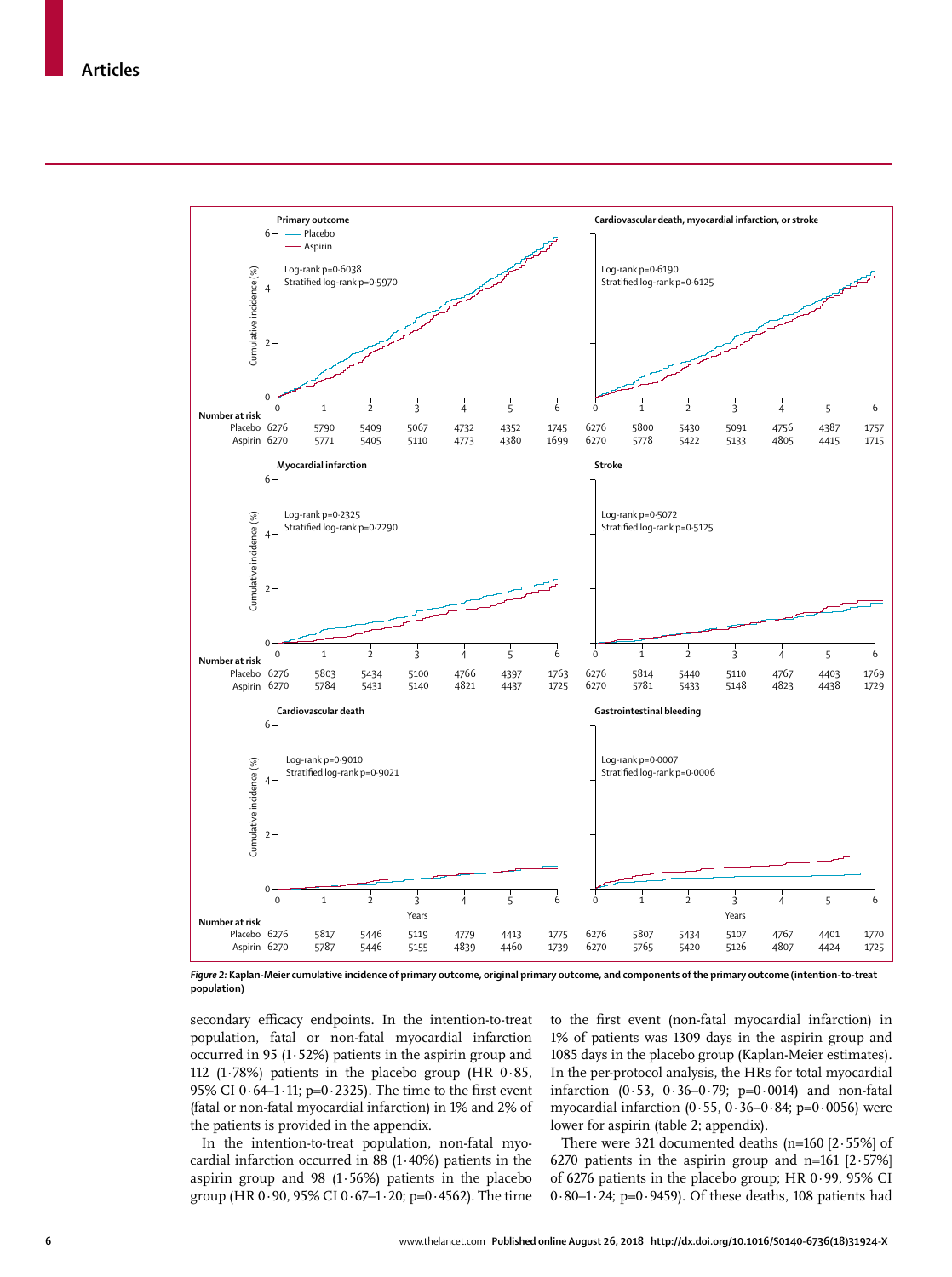

*Figure 2:* **Kaplan-Meier cumulative incidence of primary outcome, original primary outcome, and components of the primary outcome (intention-to-treat population)**

secondary efficacy endpoints. In the intention-to-treat population, fatal or non-fatal myocardial infarction occurred in 95 (1·52%) patients in the aspirin group and 112 (1 $\cdot$ 78%) patients in the placebo group (HR 0 $\cdot$ 85, 95% CI 0·64–1·11; p=0·2325). The time to the first event (fatal or non-fatal myocardial infarction) in 1% and 2% of the patients is provided in the appendix.

In the intention-to-treat population, non-fatal myocardial infarction occurred in 88 (1·40%) patients in the aspirin group and  $98$  (1 $\cdot$  56%) patients in the placebo group (HR 0·90, 95% CI 0·67–1·20; p=0·4562). The time to the first event (non-fatal myocardial infarction) in 1% of patients was 1309 days in the aspirin group and 1085 days in the placebo group (Kaplan-Meier estimates). In the per-protocol analysis, the HRs for total myocardial infarction  $(0.53, 0.36 - 0.79; p=0.0014)$  and non-fatal myocardial infarction  $(0.55, 0.36 - 0.84; p = 0.0056)$  were lower for aspirin (table 2; appendix).

There were 321 documented deaths (n=160  $[2.55\%]$  of 6270 patients in the aspirin group and n=161  $[2.57\%]$ of 6276 patients in the placebo group; HR 0·99, 95% CI  $0.80-1.24$ ; p=0.9459). Of these deaths, 108 patients had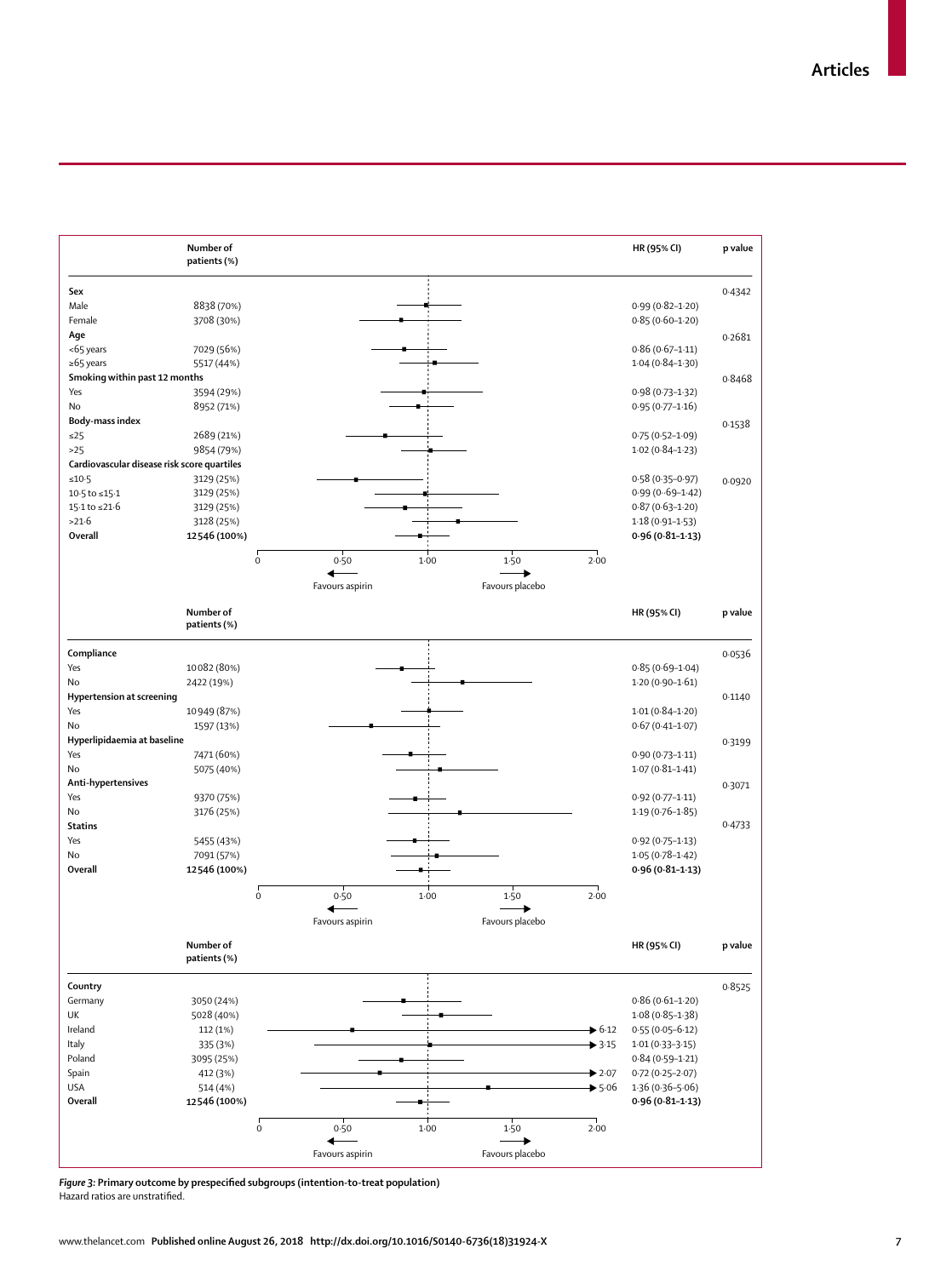

*Figure 3:* **Primary outcome by prespecified subgroups (intention-to-treat population)** Hazard ratios are unstratified.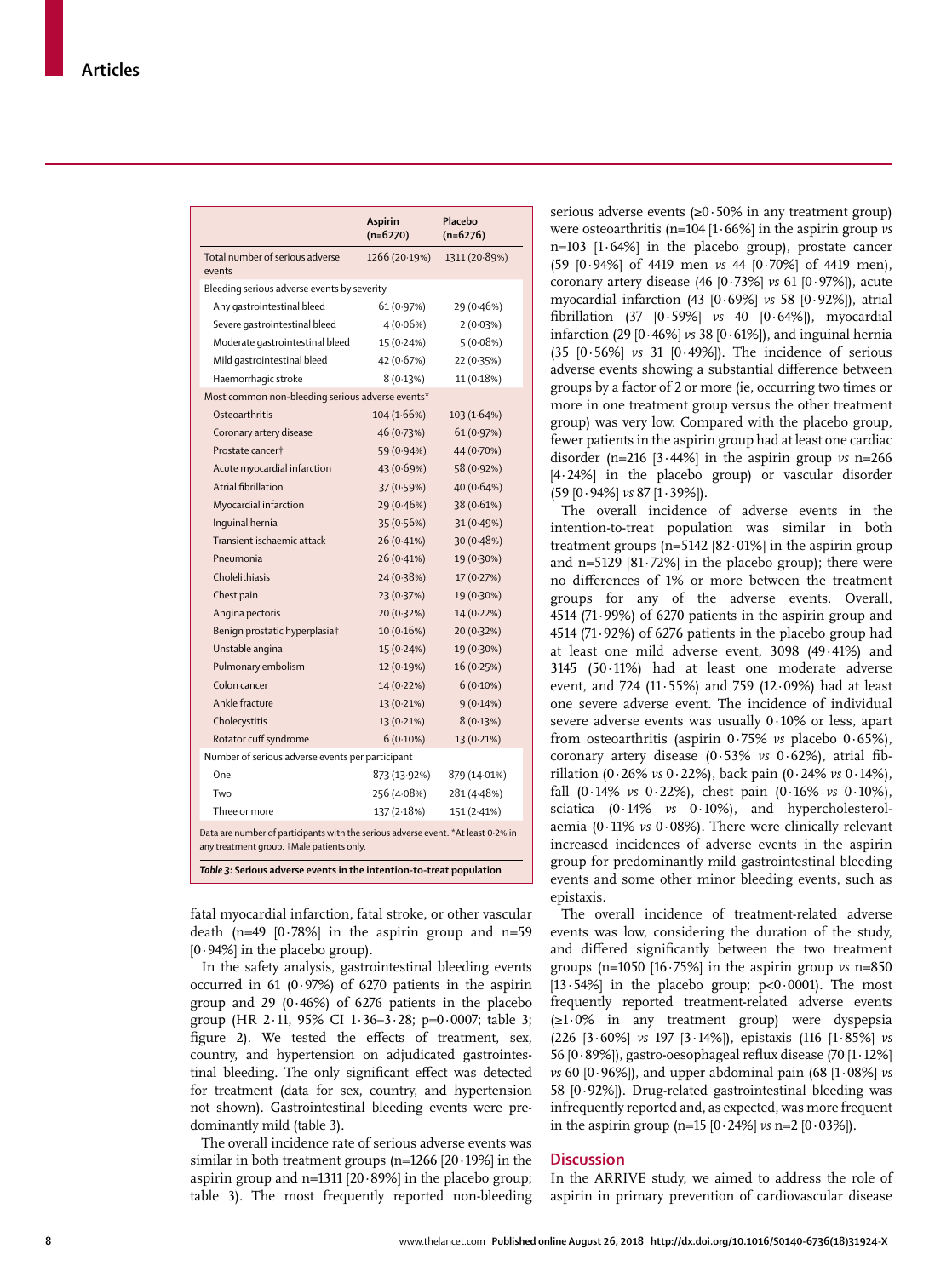|                                                                                                                                | <b>Aspirin</b><br>$(n=6270)$ | Placebo<br>$(n=6276)$ |  |  |  |  |  |  |
|--------------------------------------------------------------------------------------------------------------------------------|------------------------------|-----------------------|--|--|--|--|--|--|
| Total number of serious adverse<br>events                                                                                      | 1266 (20.19%)                | 1311 (20.89%)         |  |  |  |  |  |  |
| Bleeding serious adverse events by severity                                                                                    |                              |                       |  |  |  |  |  |  |
| Any gastrointestinal bleed                                                                                                     | 61 (0.97%)                   | 29 (0.46%)            |  |  |  |  |  |  |
| Severe gastrointestinal bleed                                                                                                  | 4 (0.06%)                    | 2(0.03%)              |  |  |  |  |  |  |
| Moderate gastrointestinal bleed                                                                                                | 15 (0.24%)                   | 5(0.08%)              |  |  |  |  |  |  |
| Mild gastrointestinal bleed                                                                                                    | 42 (0.67%)                   | 22 (0.35%)            |  |  |  |  |  |  |
| Haemorrhagic stroke                                                                                                            | 8(0.13%)                     | 11 (0.18%)            |  |  |  |  |  |  |
| Most common non-bleeding serious adverse events*                                                                               |                              |                       |  |  |  |  |  |  |
| Osteoarthritis                                                                                                                 | 104 (1.66%)                  | 103 (1.64%)           |  |  |  |  |  |  |
| Coronary artery disease                                                                                                        | 46 (0.73%)                   | 61 (0.97%)            |  |  |  |  |  |  |
| Prostate cancert                                                                                                               | 59 (0.94%)                   | 44 (0.70%)            |  |  |  |  |  |  |
| Acute myocardial infarction                                                                                                    | 43 (0.69%)                   | 58 (0.92%)            |  |  |  |  |  |  |
| Atrial fibrillation                                                                                                            | 37 (0.59%)                   | 40 (0.64%)            |  |  |  |  |  |  |
| Myocardial infarction                                                                                                          | 29 (0.46%)                   | 38 (0.61%)            |  |  |  |  |  |  |
| Inquinal hernia                                                                                                                | 35 (0.56%)                   | 31 (0.49%)            |  |  |  |  |  |  |
| Transient ischaemic attack                                                                                                     | 26(0.41%)                    | 30(0.48%)             |  |  |  |  |  |  |
| Pneumonia                                                                                                                      | 26 (0.41%)                   | 19 (0.30%)            |  |  |  |  |  |  |
| Cholelithiasis                                                                                                                 | 24 (0.38%)                   | 17 (0.27%)            |  |  |  |  |  |  |
| Chest pain                                                                                                                     | 23 (0.37%)                   | 19 (0.30%)            |  |  |  |  |  |  |
| Angina pectoris                                                                                                                | 20 (0.32%)                   | 14 (0.22%)            |  |  |  |  |  |  |
| Benign prostatic hyperplasia†                                                                                                  | 10(0.16%)                    | 20 (0.32%)            |  |  |  |  |  |  |
| Unstable angina                                                                                                                | 15 (0.24%)                   | 19 (0.30%)            |  |  |  |  |  |  |
| Pulmonary embolism                                                                                                             | 12 (0.19%)                   | 16 (0.25%)            |  |  |  |  |  |  |
| Colon cancer                                                                                                                   | 14 (0.22%)                   | $6(0.10\%)$           |  |  |  |  |  |  |
| Ankle fracture                                                                                                                 | 13 (0.21%)                   | 9(0.14%)              |  |  |  |  |  |  |
| Cholecystitis                                                                                                                  | 13 (0.21%)                   | 8(0.13%)              |  |  |  |  |  |  |
| Rotator cuff syndrome                                                                                                          | 6(0.10%)                     | 13 (0.21%)            |  |  |  |  |  |  |
| Number of serious adverse events per participant                                                                               |                              |                       |  |  |  |  |  |  |
| One                                                                                                                            | 873 (13.92%)                 | 879 (14.01%)          |  |  |  |  |  |  |
| Two                                                                                                                            | 256 (4.08%)                  | 281 (4.48%)           |  |  |  |  |  |  |
| Three or more                                                                                                                  | 137 (2.18%)                  | 151 (2.41%)           |  |  |  |  |  |  |
| Data are number of participants with the serious adverse event. *At least 0.2% in<br>any treatment group. †Male patients only. |                              |                       |  |  |  |  |  |  |
| Table 3: Serious adverse events in the intention-to-treat population                                                           |                              |                       |  |  |  |  |  |  |

fatal myocardial infarction, fatal stroke, or other vascular death ( $n=49$  [0·78%] in the aspirin group and  $n=59$ [0·94%] in the placebo group).

In the safety analysis, gastrointestinal bleeding events occurred in 61 (0·97%) of 6270 patients in the aspirin group and 29 (0·46%) of 6276 patients in the placebo group (HR 2·11, 95% CI 1·36–3·28; p=0·0007; table 3; figure 2). We tested the effects of treatment, sex, country, and hypertension on adjudicated gastrointestinal bleeding. The only significant effect was detected for treatment (data for sex, country, and hypertension not shown). Gastrointestinal bleeding events were predominantly mild (table 3).

The overall incidence rate of serious adverse events was similar in both treatment groups (n=1266 [20·19%] in the aspirin group and n=1311  $[20.89\%]$  in the placebo group; table 3). The most frequently reported non-bleeding serious adverse events  $(≥0.50%$  in any treatment group) were osteoarthritis (n=104 [1·66%] in the aspirin group *vs* n=103 [1·64%] in the placebo group), prostate cancer (59 [0·94%] of 4419 men *vs* 44 [0·70%] of 4419 men), coronary artery disease (46 [0·73%] *vs* 61 [0·97%]), acute myocardial infarction (43 [0·69%] *vs* 58 [0·92%]), atrial fibrillation (37 [0·59%] *vs* 40 [0·64%]), myocardial infarction (29 [0·46%] *vs* 38 [0·61%]), and inguinal hernia (35 [0·56%] *vs* 31 [0·49%]). The incidence of serious adverse events showing a substantial difference between groups by a factor of 2 or more (ie, occurring two times or more in one treatment group versus the other treatment group) was very low. Compared with the placebo group, fewer patients in the aspirin group had at least one cardiac disorder (n=216 [3·44%] in the aspirin group *vs* n=266 [4·24%] in the placebo group) or vascular disorder (59 [0·94%] *vs* 87 [1·39%]).

The overall incidence of adverse events in the intention-to-treat population was similar in both treatment groups (n=5142  $[82.01\%]$  in the aspirin group and n=5129 [81·72%] in the placebo group); there were no differences of 1% or more between the treatment groups for any of the adverse events. Overall, 4514 (71 $\cdot$ 99%) of 6270 patients in the aspirin group and 4514 (71·92%) of 6276 patients in the placebo group had at least one mild adverse event, 3098 (49·41%) and 3145 (50·11%) had at least one moderate adverse event, and 724 (11·55%) and 759 (12·09%) had at least one severe adverse event. The incidence of individual severe adverse events was usually 0·10% or less, apart from osteoarthritis (aspirin 0·75% *vs* placebo 0·65%), coronary artery disease (0·53% *vs* 0·62%), atrial fibrillation (0·26% *vs* 0·22%), back pain (0·24% *vs* 0·14%), fall (0·14% *vs* 0·22%), chest pain (0·16% *vs* 0·10%), sciatica (0·14% *vs* 0·10%), and hypercholesterolaemia (0·11% *vs* 0·08%). There were clinically relevant increased incidences of adverse events in the aspirin group for predominantly mild gastrointestinal bleeding events and some other minor bleeding events, such as epistaxis.

The overall incidence of treatment-related adverse events was low, considering the duration of the study, and differed significantly between the two treatment groups (n=1050 [16·75%] in the aspirin group *vs* n=850 [13·54%] in the placebo group;  $p<0.0001$ ). The most frequently reported treatment-related adverse events (≥1·0% in any treatment group) were dyspepsia (226 [3·60%] *vs* 197 [3·14%]), epistaxis (116 [1·85%] *vs* 56 [0·89%]), gastro-oesophageal reflux disease (70 [1·12%] *vs* 60 [0·96%]), and upper abdominal pain (68 [1·08%] *vs*  58 [0·92%]). Drug-related gastrointestinal bleeding was infrequently reported and, as expected, was more frequent in the aspirin group (n=15 [0·24%] *vs* n=2 [0·03%]).

## **Discussion**

In the ARRIVE study, we aimed to address the role of aspirin in primary prevention of cardiovascular disease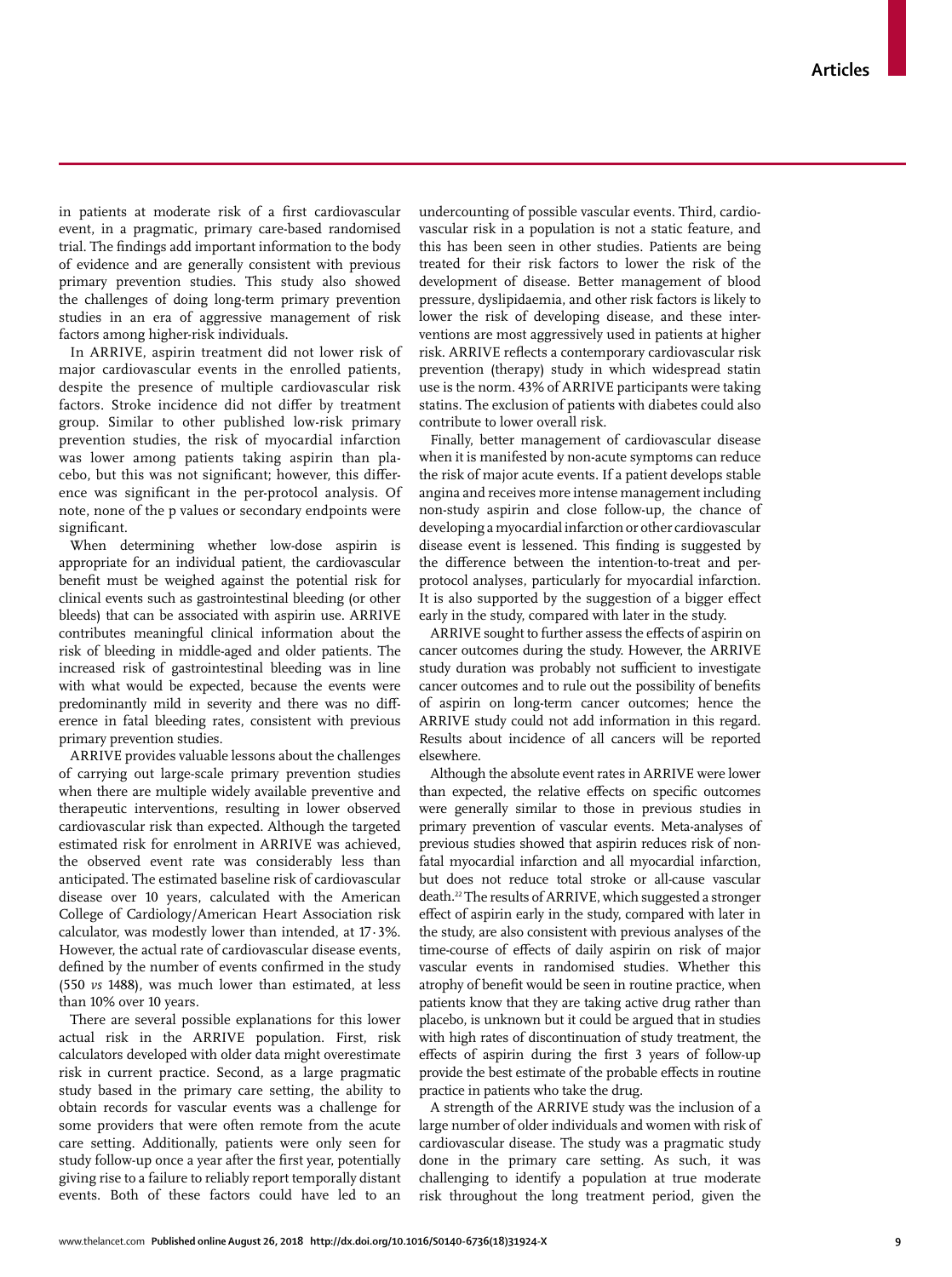in patients at moderate risk of a first cardiovascular event, in a pragmatic, primary care-based randomised trial. The findings add important information to the body of evidence and are generally consistent with previous primary prevention studies. This study also showed the challenges of doing long-term primary prevention studies in an era of aggressive management of risk factors among higher-risk individuals.

In ARRIVE, aspirin treatment did not lower risk of major cardiovascular events in the enrolled patients, despite the presence of multiple cardiovascular risk factors. Stroke incidence did not differ by treatment group. Similar to other published low-risk primary prevention studies, the risk of myocardial infarction was lower among patients taking aspirin than placebo, but this was not significant; however, this difference was significant in the per-protocol analysis. Of note, none of the p values or secondary endpoints were significant.

When determining whether low-dose aspirin is appropriate for an individual patient, the cardiovascular benefit must be weighed against the potential risk for clinical events such as gastrointestinal bleeding (or other bleeds) that can be associated with aspirin use. ARRIVE contributes meaningful clinical information about the risk of bleeding in middle-aged and older patients. The increased risk of gastrointestinal bleeding was in line with what would be expected, because the events were predominantly mild in severity and there was no difference in fatal bleeding rates, consistent with previous primary prevention studies.

ARRIVE provides valuable lessons about the challenges of carrying out large-scale primary prevention studies when there are multiple widely available preventive and therapeutic interventions, resulting in lower observed cardiovascular risk than expected. Although the targeted estimated risk for enrolment in ARRIVE was achieved, the observed event rate was considerably less than anticipated. The estimated baseline risk of cardiovascular disease over 10 years, calculated with the American College of Cardiology/American Heart Association risk calculator, was modestly lower than intended, at 17·3%. However, the actual rate of cardiovascular disease events, defined by the number of events confirmed in the study (550 *vs* 1488), was much lower than estimated, at less than 10% over 10 years.

There are several possible explanations for this lower actual risk in the ARRIVE population. First, risk calculators developed with older data might overestimate risk in current practice. Second, as a large pragmatic study based in the primary care setting, the ability to obtain records for vascular events was a challenge for some providers that were often remote from the acute care setting. Additionally, patients were only seen for study follow-up once a year after the first year, potentially giving rise to a failure to reliably report temporally distant events. Both of these factors could have led to an

undercounting of possible vascular events. Third, cardiovascular risk in a population is not a static feature, and this has been seen in other studies. Patients are being treated for their risk factors to lower the risk of the development of disease. Better management of blood pressure, dyslipidaemia, and other risk factors is likely to lower the risk of developing disease, and these interventions are most aggressively used in patients at higher risk. ARRIVE reflects a contemporary cardiovascular risk prevention (therapy) study in which widespread statin use is the norm. 43% of ARRIVE participants were taking statins. The exclusion of patients with diabetes could also contribute to lower overall risk.

Finally, better management of cardiovascular disease when it is manifested by non-acute symptoms can reduce the risk of major acute events. If a patient develops stable angina and receives more intense management including non-study aspirin and close follow-up, the chance of developing a myocardial infarction or other cardiovascular disease event is lessened. This finding is suggested by the difference between the intention-to-treat and perprotocol analyses, particularly for myocardial infarction. It is also supported by the suggestion of a bigger effect early in the study, compared with later in the study.

ARRIVE sought to further assess the effects of aspirin on cancer outcomes during the study. However, the ARRIVE study duration was probably not sufficient to investigate cancer outcomes and to rule out the possibility of benefits of aspirin on long-term cancer outcomes; hence the ARRIVE study could not add information in this regard. Results about incidence of all cancers will be reported elsewhere.

Although the absolute event rates in ARRIVE were lower than expected, the relative effects on specific outcomes were generally similar to those in previous studies in primary prevention of vascular events. Meta-analyses of previous studies showed that aspirin reduces risk of nonfatal myocardial infarction and all myocardial infarction, but does not reduce total stroke or all-cause vascular death.<sup>22</sup> The results of ARRIVE, which suggested a stronger effect of aspirin early in the study, compared with later in the study, are also consistent with previous analyses of the time-course of effects of daily aspirin on risk of major vascular events in randomised studies. Whether this atrophy of benefit would be seen in routine practice, when patients know that they are taking active drug rather than placebo, is unknown but it could be argued that in studies with high rates of discontinuation of study treatment, the effects of aspirin during the first 3 years of follow-up provide the best estimate of the probable effects in routine practice in patients who take the drug.

A strength of the ARRIVE study was the inclusion of a large number of older individuals and women with risk of cardiovascular disease. The study was a pragmatic study done in the primary care setting. As such, it was challenging to identify a population at true moderate risk throughout the long treatment period, given the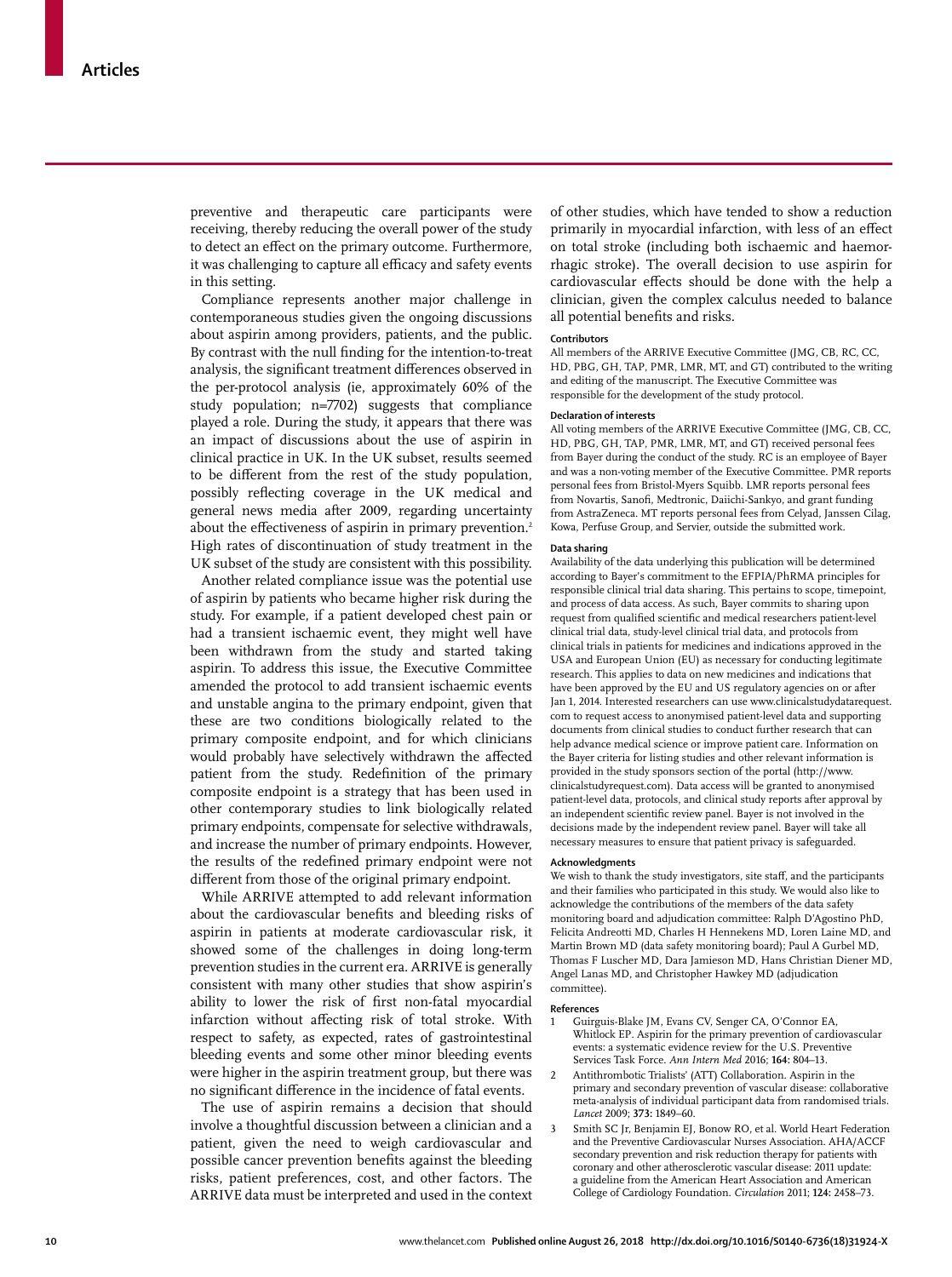preventive and therapeutic care participants were receiving, thereby reducing the overall power of the study to detect an effect on the primary outcome. Furthermore, it was challenging to capture all efficacy and safety events in this setting.

Compliance represents another major challenge in contemporaneous studies given the ongoing discussions about aspirin among providers, patients, and the public. By contrast with the null finding for the intention-to-treat analysis, the significant treatment differences observed in the per-protocol analysis (ie, approximately 60% of the study population; n=7702) suggests that compliance played a role. During the study, it appears that there was an impact of discussions about the use of aspirin in clinical practice in UK. In the UK subset, results seemed to be different from the rest of the study population, possibly reflecting coverage in the UK medical and general news media after 2009, regarding uncertainty about the effectiveness of aspirin in primary prevention.<sup>2</sup> High rates of discontinuation of study treatment in the UK subset of the study are consistent with this possibility.

Another related compliance issue was the potential use of aspirin by patients who became higher risk during the study. For example, if a patient developed chest pain or had a transient ischaemic event, they might well have been withdrawn from the study and started taking aspirin. To address this issue, the Executive Committee amended the protocol to add transient ischaemic events and unstable angina to the primary endpoint, given that these are two conditions biologically related to the primary composite endpoint, and for which clinicians would probably have selectively withdrawn the affected patient from the study. Redefinition of the primary composite endpoint is a strategy that has been used in other contemporary studies to link biologically related primary endpoints, compensate for selective withdrawals, and increase the number of primary endpoints. However, the results of the redefined primary endpoint were not different from those of the original primary endpoint.

While ARRIVE attempted to add relevant information about the cardiovascular benefits and bleeding risks of aspirin in patients at moderate cardiovascular risk, it showed some of the challenges in doing long-term prevention studies in the current era. ARRIVE is generally consistent with many other studies that show aspirin's ability to lower the risk of first non-fatal myocardial infarction without affecting risk of total stroke. With respect to safety, as expected, rates of gastrointestinal bleeding events and some other minor bleeding events were higher in the aspirin treatment group, but there was no significant difference in the incidence of fatal events.

The use of aspirin remains a decision that should involve a thoughtful discussion between a clinician and a patient, given the need to weigh cardiovascular and possible cancer prevention benefits against the bleeding risks, patient preferences, cost, and other factors. The ARRIVE data must be interpreted and used in the context of other studies, which have tended to show a reduction primarily in myocardial infarction, with less of an effect on total stroke (including both ischaemic and haemorrhagic stroke). The overall decision to use aspirin for cardiovascular effects should be done with the help a clinician, given the complex calculus needed to balance all potential benefits and risks.

#### **Contributors**

All members of the ARRIVE Executive Committee (JMG, CB, RC, CC, HD, PBG, GH, TAP, PMR, LMR, MT, and GT) contributed to the writing and editing of the manuscript. The Executive Committee was responsible for the development of the study protocol.

#### **Declaration of interests**

All voting members of the ARRIVE Executive Committee (JMG, CB, CC, HD, PBG, GH, TAP, PMR, LMR, MT, and GT) received personal fees from Bayer during the conduct of the study. RC is an employee of Bayer and was a non-voting member of the Executive Committee. PMR reports personal fees from Bristol-Myers Squibb. LMR reports personal fees from Novartis, Sanofi, Medtronic, Daiichi-Sankyo, and grant funding from AstraZeneca. MT reports personal fees from Celyad, Janssen Cilag, Kowa, Perfuse Group, and Servier, outside the submitted work.

#### **Data sharing**

Availability of the data underlying this publication will be determined according to Bayer's commitment to the EFPIA/PhRMA principles for responsible clinical trial data sharing. This pertains to scope, timepoint, and process of data access. As such, Bayer commits to sharing upon request from qualified scientific and medical researchers patient-level clinical trial data, study-level clinical trial data, and protocols from clinical trials in patients for medicines and indications approved in the USA and European Union (EU) as necessary for conducting legitimate research. This applies to data on new medicines and indications that have been approved by the EU and US regulatory agencies on or after Jan 1, 2014. Interested researchers can use www.clinicalstudydatarequest. com to request access to anonymised patient-level data and supporting documents from clinical studies to conduct further research that can help advance medical science or improve patient care. Information on the Bayer criteria for listing studies and other relevant information is provided in the study sponsors section of the portal ([http://www.](http://www.clinicalstudyrequest.com) [clinicalstudyrequest.com](http://www.clinicalstudyrequest.com)). Data access will be granted to anonymised patient-level data, protocols, and clinical study reports after approval by an independent scientific review panel. Bayer is not involved in the decisions made by the independent review panel. Bayer will take all necessary measures to ensure that patient privacy is safeguarded.

#### **Acknowledgments**

We wish to thank the study investigators, site staff, and the participants and their families who participated in this study. We would also like to acknowledge the contributions of the members of the data safety monitoring board and adjudication committee: Ralph D'Agostino PhD, Felicita Andreotti MD, Charles H Hennekens MD, Loren Laine MD, and Martin Brown MD (data safety monitoring board); Paul A Gurbel MD, Thomas F Luscher MD, Dara Jamieson MD, Hans Christian Diener MD, Angel Lanas MD, and Christopher Hawkey MD (adjudication committee).

## **References**

- 1 Guirguis-Blake JM, Evans CV, Senger CA, O'Connor EA, Whitlock EP. Aspirin for the primary prevention of cardiovascular events: a systematic evidence review for the U.S. Preventive Services Task Force. *Ann Intern Med* 2016; **164:** 804–13.
- 2 Antithrombotic Trialists' (ATT) Collaboration. Aspirin in the primary and secondary prevention of vascular disease: collaborative meta-analysis of individual participant data from randomised trials. *Lancet* 2009; **373:** 1849–60.
- 3 Smith SC Jr, Benjamin EJ, Bonow RO, et al. World Heart Federation and the Preventive Cardiovascular Nurses Association. AHA/ACCF secondary prevention and risk reduction therapy for patients with coronary and other atherosclerotic vascular disease: 2011 update: a guideline from the American Heart Association and American College of Cardiology Foundation. *Circulation* 2011; **124:** 2458–73.